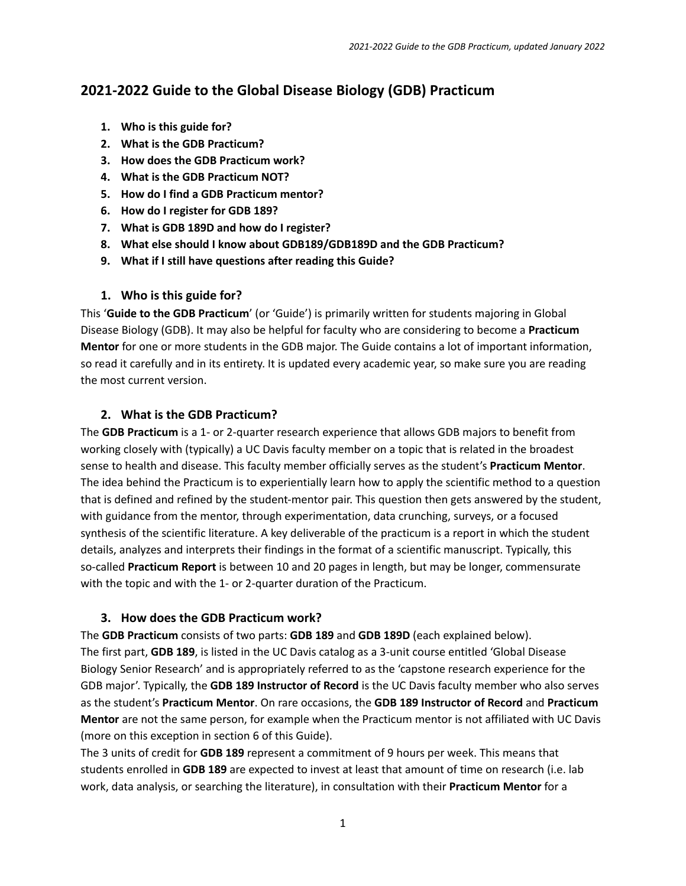# **2021-2022 Guide to the Global Disease Biology (GDB) Practicum**

- **1. Who is this guide for?**
- **2. What is the GDB Practicum?**
- **3. How does the GDB Practicum work?**
- **4. What is the GDB Practicum NOT?**
- **5. How do I find a GDB Practicum mentor?**
- **6. How do I register for GDB 189?**
- **7. What is GDB 189D and how do I register?**
- **8. What else should I know about GDB189/GDB189D and the GDB Practicum?**
- **9. What if I still have questions after reading this Guide?**

# **1. Who is this guide for?**

This '**Guide to the GDB Practicum**' (or 'Guide') is primarily written for students majoring in Global Disease Biology (GDB). It may also be helpful for faculty who are considering to become a **Practicum Mentor** for one or more students in the GDB major. The Guide contains a lot of important information, so read it carefully and in its entirety. It is updated every academic year, so make sure you are reading the most current version.

# **2. What is the GDB Practicum?**

The **GDB Practicum** is a 1- or 2-quarter research experience that allows GDB majors to benefit from working closely with (typically) a UC Davis faculty member on a topic that is related in the broadest sense to health and disease. This faculty member officially serves as the student's **Practicum Mentor**. The idea behind the Practicum is to experientially learn how to apply the scientific method to a question that is defined and refined by the student-mentor pair. This question then gets answered by the student, with guidance from the mentor, through experimentation, data crunching, surveys, or a focused synthesis of the scientific literature. A key deliverable of the practicum is a report in which the student details, analyzes and interprets their findings in the format of a scientific manuscript. Typically, this so-called **Practicum Report** is between 10 and 20 pages in length, but may be longer, commensurate with the topic and with the 1- or 2-quarter duration of the Practicum.

### **3. How does the GDB Practicum work?**

The **GDB Practicum** consists of two parts: **GDB 189** and **GDB 189D** (each explained below). The first part, **GDB 189**, is listed in the UC Davis catalog as a 3-unit course entitled 'Global Disease Biology Senior Research' and is appropriately referred to as the 'capstone research experience for the GDB major'. Typically, the **GDB 189 Instructor of Record** is the UC Davis faculty member who also serves as the student's **Practicum Mentor**. On rare occasions, the **GDB 189 Instructor of Record** and **Practicum Mentor** are not the same person, for example when the Practicum mentor is not affiliated with UC Davis (more on this exception in section 6 of this Guide).

The 3 units of credit for **GDB 189** represent a commitment of 9 hours per week. This means that students enrolled in **GDB 189** are expected to invest at least that amount of time on research (i.e. lab work, data analysis, or searching the literature), in consultation with their **Practicum Mentor** for a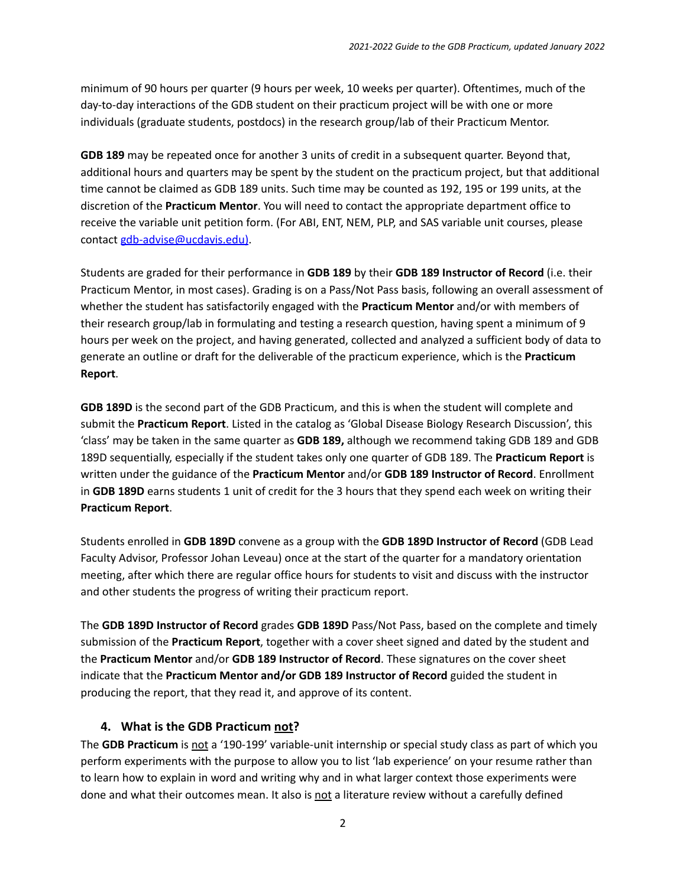minimum of 90 hours per quarter (9 hours per week, 10 weeks per quarter). Oftentimes, much of the day-to-day interactions of the GDB student on their practicum project will be with one or more individuals (graduate students, postdocs) in the research group/lab of their Practicum Mentor.

**GDB 189** may be repeated once for another 3 units of credit in a subsequent quarter. Beyond that, additional hours and quarters may be spent by the student on the practicum project, but that additional time cannot be claimed as GDB 189 units. Such time may be counted as 192, 195 or 199 units, at the discretion of the **Practicum Mentor**. You will need to contact the appropriate department office to receive the variable unit petition form. (For ABI, ENT, NEM, PLP, and SAS variable unit courses, please contact [gdb-advise@ucdavis.edu\)](mailto:gdb-advise@ucdavis.edu).

Students are graded for their performance in **GDB 189** by their **GDB 189 Instructor of Record** (i.e. their Practicum Mentor, in most cases). Grading is on a Pass/Not Pass basis, following an overall assessment of whether the student has satisfactorily engaged with the **Practicum Mentor** and/or with members of their research group/lab in formulating and testing a research question, having spent a minimum of 9 hours per week on the project, and having generated, collected and analyzed a sufficient body of data to generate an outline or draft for the deliverable of the practicum experience, which is the **Practicum Report**.

**GDB 189D** is the second part of the GDB Practicum, and this is when the student will complete and submit the **Practicum Report**. Listed in the catalog as 'Global Disease Biology Research Discussion', this 'class' may be taken in the same quarter as **GDB 189,** although we recommend taking GDB 189 and GDB 189D sequentially, especially if the student takes only one quarter of GDB 189. The **Practicum Report** is written under the guidance of the **Practicum Mentor** and/or **GDB 189 Instructor of Record**. Enrollment in **GDB 189D** earns students 1 unit of credit for the 3 hours that they spend each week on writing their **Practicum Report**.

Students enrolled in **GDB 189D** convene as a group with the **GDB 189D Instructor of Record** (GDB Lead Faculty Advisor, Professor Johan Leveau) once at the start of the quarter for a mandatory orientation meeting, after which there are regular office hours for students to visit and discuss with the instructor and other students the progress of writing their practicum report.

The **GDB 189D Instructor of Record** grades **GDB 189D** Pass/Not Pass, based on the complete and timely submission of the **Practicum Report**, together with a cover sheet signed and dated by the student and the **Practicum Mentor** and/or **GDB 189 Instructor of Record**. These signatures on the cover sheet indicate that the **Practicum Mentor and/or GDB 189 Instructor of Record** guided the student in producing the report, that they read it, and approve of its content.

#### **4. What is the GDB Practicum not?**

The GDB Practicum is not a '190-199' variable-unit internship or special study class as part of which you perform experiments with the purpose to allow you to list 'lab experience' on your resume rather than to learn how to explain in word and writing why and in what larger context those experiments were done and what their outcomes mean. It also is not a literature review without a carefully defined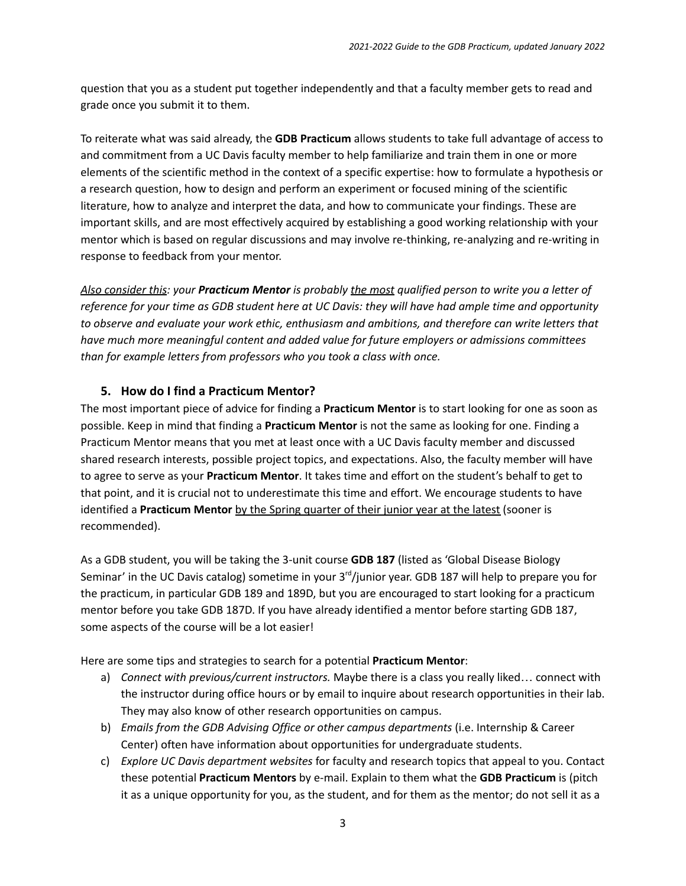question that you as a student put together independently and that a faculty member gets to read and grade once you submit it to them.

To reiterate what was said already, the **GDB Practicum** allows students to take full advantage of access to and commitment from a UC Davis faculty member to help familiarize and train them in one or more elements of the scientific method in the context of a specific expertise: how to formulate a hypothesis or a research question, how to design and perform an experiment or focused mining of the scientific literature, how to analyze and interpret the data, and how to communicate your findings. These are important skills, and are most effectively acquired by establishing a good working relationship with your mentor which is based on regular discussions and may involve re-thinking, re-analyzing and re-writing in response to feedback from your mentor.

Also consider this: your Practicum Mentor is probably the most qualified person to write you a letter of reference for your time as GDB student here at UC Davis: they will have had ample time and opportunity *to observe and evaluate your work ethic, enthusiasm and ambitions, and therefore can write letters that have much more meaningful content and added value for future employers or admissions committees than for example letters from professors who you took a class with once.*

### **5. How do I find a Practicum Mentor?**

The most important piece of advice for finding a **Practicum Mentor** is to start looking for one as soon as possible. Keep in mind that finding a **Practicum Mentor** is not the same as looking for one. Finding a Practicum Mentor means that you met at least once with a UC Davis faculty member and discussed shared research interests, possible project topics, and expectations. Also, the faculty member will have to agree to serve as your **Practicum Mentor**. It takes time and effort on the student's behalf to get to that point, and it is crucial not to underestimate this time and effort. We encourage students to have identified a **Practicum Mentor** by the Spring quarter of their junior year at the latest (sooner is recommended).

As a GDB student, you will be taking the 3-unit course **GDB 187** (listed as 'Global Disease Biology Seminar' in the UC Davis catalog) sometime in your 3<sup>rd</sup>/junior year. GDB 187 will help to prepare you for the practicum, in particular GDB 189 and 189D, but you are encouraged to start looking for a practicum mentor before you take GDB 187D. If you have already identified a mentor before starting GDB 187, some aspects of the course will be a lot easier!

Here are some tips and strategies to search for a potential **Practicum Mentor**:

- a) *Connect with previous/current instructors.* Maybe there is a class you really liked… connect with the instructor during office hours or by email to inquire about research opportunities in their lab. They may also know of other research opportunities on campus.
- b) *Emails from the GDB Advising Office or other campus departments* (i.e. Internship & Career Center) often have information about opportunities for undergraduate students.
- c) *Explore UC Davis department websites* for faculty and research topics that appeal to you. Contact these potential **Practicum Mentors** by e-mail. Explain to them what the **GDB Practicum** is (pitch it as a unique opportunity for you, as the student, and for them as the mentor; do not sell it as a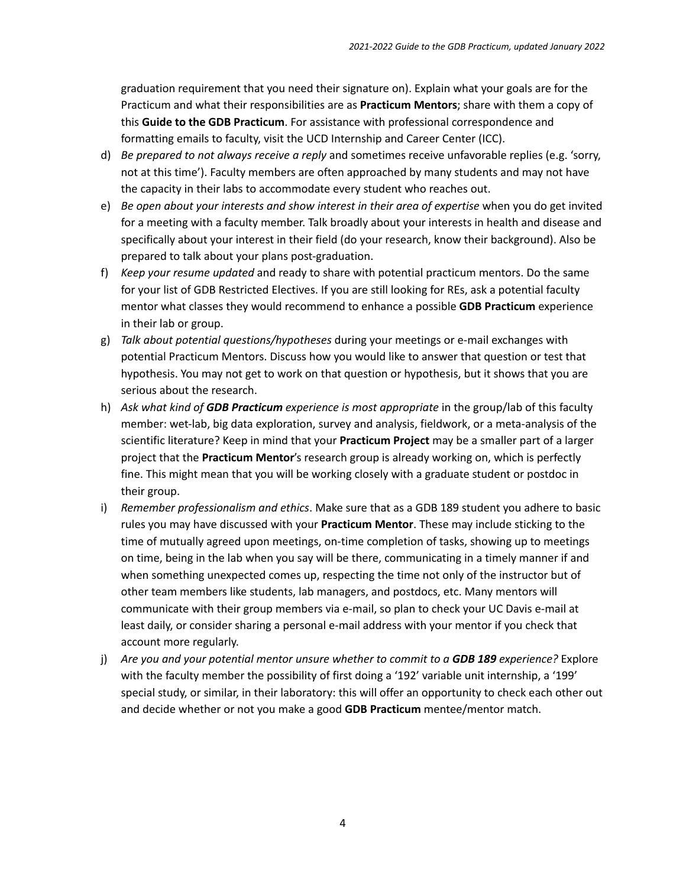graduation requirement that you need their signature on). Explain what your goals are for the Practicum and what their responsibilities are as **Practicum Mentors**; share with them a copy of this **Guide to the GDB Practicum**. For assistance with professional correspondence and formatting emails to faculty, visit the UCD Internship and Career Center (ICC).

- d) *Be prepared to not always receive a reply* and sometimes receive unfavorable replies (e.g. 'sorry, not at this time'). Faculty members are often approached by many students and may not have the capacity in their labs to accommodate every student who reaches out.
- e) *Be open about your interests and show interest in their area of expertise* when you do get invited for a meeting with a faculty member. Talk broadly about your interests in health and disease and specifically about your interest in their field (do your research, know their background). Also be prepared to talk about your plans post-graduation.
- f) *Keep your resume updated* and ready to share with potential practicum mentors. Do the same for your list of GDB Restricted Electives. If you are still looking for REs, ask a potential faculty mentor what classes they would recommend to enhance a possible **GDB Practicum** experience in their lab or group.
- g) *Talk about potential questions/hypotheses* during your meetings or e-mail exchanges with potential Practicum Mentors. Discuss how you would like to answer that question or test that hypothesis. You may not get to work on that question or hypothesis, but it shows that you are serious about the research.
- h) *Ask what kind of GDB Practicum experience is most appropriate* in the group/lab of this faculty member: wet-lab, big data exploration, survey and analysis, fieldwork, or a meta-analysis of the scientific literature? Keep in mind that your **Practicum Project** may be a smaller part of a larger project that the **Practicum Mentor**'s research group is already working on, which is perfectly fine. This might mean that you will be working closely with a graduate student or postdoc in their group.
- i) *Remember professionalism and ethics*. Make sure that as a GDB 189 student you adhere to basic rules you may have discussed with your **Practicum Mentor**. These may include sticking to the time of mutually agreed upon meetings, on-time completion of tasks, showing up to meetings on time, being in the lab when you say will be there, communicating in a timely manner if and when something unexpected comes up, respecting the time not only of the instructor but of other team members like students, lab managers, and postdocs, etc. Many mentors will communicate with their group members via e-mail, so plan to check your UC Davis e-mail at least daily, or consider sharing a personal e-mail address with your mentor if you check that account more regularly.
- j) *Are you and your potential mentor unsure whether to commit to a GDB 189 experience?* Explore with the faculty member the possibility of first doing a '192' variable unit internship, a '199' special study, or similar, in their laboratory: this will offer an opportunity to check each other out and decide whether or not you make a good **GDB Practicum** mentee/mentor match.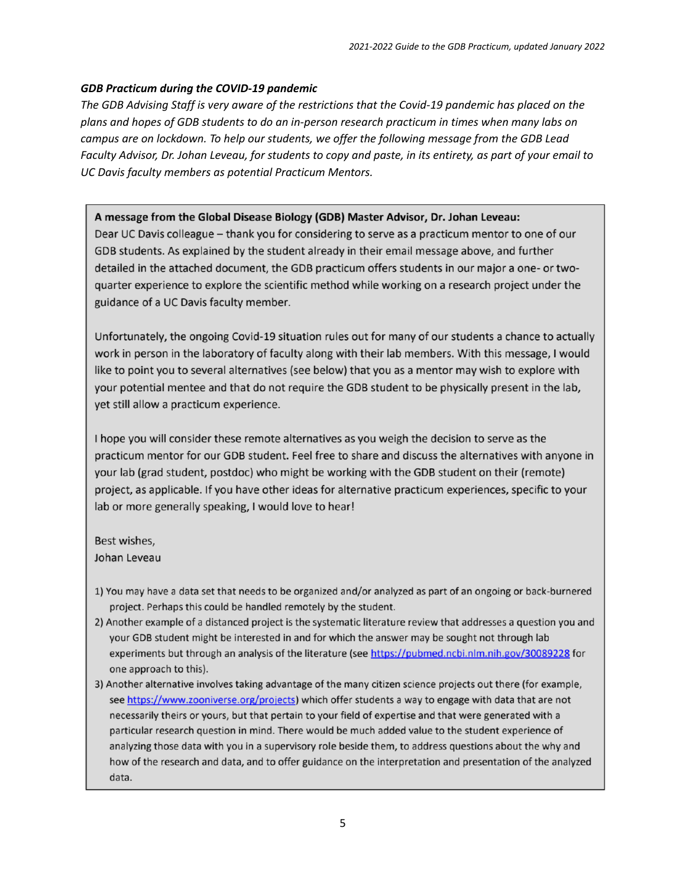#### *GDB Practicum during the COVID-19 pandemic*

The GDB Advising Staff is very aware of the restrictions that the Covid-19 pandemic has placed on the *plans and hopes of GDB students to do an in-person research practicum in times when many labs on campus are on lockdown. To help our students, we offer the following message from the GDB Lead* Faculty Advisor, Dr. Johan Leveau, for students to copy and paste, in its entirety, as part of your email to *UC Davis faculty members as potential Practicum Mentors.*

#### A message from the Global Disease Biology (GDB) Master Advisor, Dr. Johan Leveau:

Dear UC Davis colleague - thank you for considering to serve as a practicum mentor to one of our GDB students. As explained by the student already in their email message above, and further detailed in the attached document, the GDB practicum offers students in our major a one- or twoquarter experience to explore the scientific method while working on a research project under the guidance of a UC Davis faculty member.

Unfortunately, the ongoing Covid-19 situation rules out for many of our students a chance to actually work in person in the laboratory of faculty along with their lab members. With this message, I would like to point you to several alternatives (see below) that you as a mentor may wish to explore with your potential mentee and that do not require the GDB student to be physically present in the lab, yet still allow a practicum experience.

I hope you will consider these remote alternatives as you weigh the decision to serve as the practicum mentor for our GDB student. Feel free to share and discuss the alternatives with anyone in your lab (grad student, postdoc) who might be working with the GDB student on their (remote) project, as applicable. If you have other ideas for alternative practicum experiences, specific to your lab or more generally speaking, I would love to hear!

Best wishes,

Johan Leveau

- 1) You may have a data set that needs to be organized and/or analyzed as part of an ongoing or back-burnered project. Perhaps this could be handled remotely by the student.
- 2) Another example of a distanced project is the systematic literature review that addresses a question you and your GDB student might be interested in and for which the answer may be sought not through lab experiments but through an analysis of the literature (see https://pubmed.ncbi.nlm.nih.gov/30089228 for one approach to this).
- 3) Another alternative involves taking advantage of the many citizen science projects out there (for example, see https://www.zooniverse.org/projects) which offer students a way to engage with data that are not necessarily theirs or yours, but that pertain to your field of expertise and that were generated with a particular research question in mind. There would be much added value to the student experience of analyzing those data with you in a supervisory role beside them, to address questions about the why and how of the research and data, and to offer guidance on the interpretation and presentation of the analyzed data.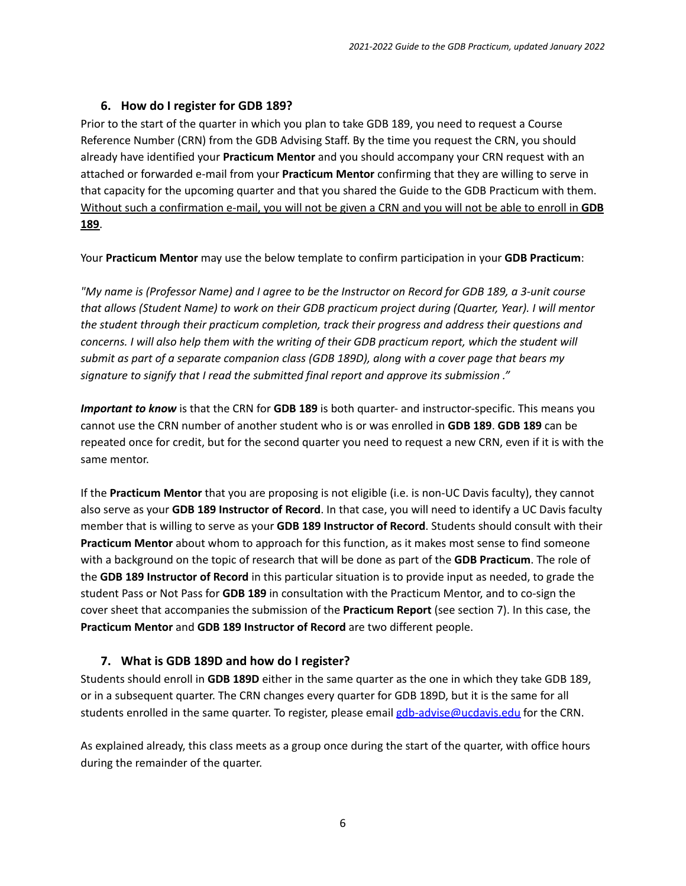# **6. How do I register for GDB 189?**

Prior to the start of the quarter in which you plan to take GDB 189, you need to request a Course Reference Number (CRN) from the GDB Advising Staff. By the time you request the CRN, you should already have identified your **Practicum Mentor** and you should accompany your CRN request with an attached or forwarded e-mail from your **Practicum Mentor** confirming that they are willing to serve in that capacity for the upcoming quarter and that you shared the Guide to the GDB Practicum with them. Without such a confirmation e-mail, you will not be given a CRN and you will not be able to enroll in **GDB 189**.

Your **Practicum Mentor** may use the below template to confirm participation in your **GDB Practicum**:

"My name is (Professor Name) and I agree to be the Instructor on Record for GDB 189, a 3-unit course *that allows (Student Name) to work on their GDB practicum project during (Quarter, Year). I will mentor the student through their practicum completion, track their progress and address their questions and* concerns. I will also help them with the writing of their GDB practicum report, which the student will *submit as part of a separate companion class (GDB 189D), along with a cover page that bears my signature to signify that I read the submitted final report and approve its submission ."*

*Important to know* is that the CRN for **GDB 189** is both quarter- and instructor-specific. This means you cannot use the CRN number of another student who is or was enrolled in **GDB 189**. **GDB 189** can be repeated once for credit, but for the second quarter you need to request a new CRN, even if it is with the same mentor.

If the **Practicum Mentor** that you are proposing is not eligible (i.e. is non-UC Davis faculty), they cannot also serve as your **GDB 189 Instructor of Record**. In that case, you will need to identify a UC Davis faculty member that is willing to serve as your **GDB 189 Instructor of Record**. Students should consult with their **Practicum Mentor** about whom to approach for this function, as it makes most sense to find someone with a background on the topic of research that will be done as part of the **GDB Practicum**. The role of the **GDB 189 Instructor of Record** in this particular situation is to provide input as needed, to grade the student Pass or Not Pass for **GDB 189** in consultation with the Practicum Mentor, and to co-sign the cover sheet that accompanies the submission of the **Practicum Report** (see section 7). In this case, the **Practicum Mentor** and **GDB 189 Instructor of Record** are two different people.

# **7. What is GDB 189D and how do I register?**

Students should enroll in **GDB 189D** either in the same quarter as the one in which they take GDB 189, or in a subsequent quarter. The CRN changes every quarter for GDB 189D, but it is the same for all students enrolled in the same quarter. To register, please email [gdb-advise@ucdavis.edu](mailto:gdb-advise@ucdavis.edu) for the CRN.

As explained already, this class meets as a group once during the start of the quarter, with office hours during the remainder of the quarter.